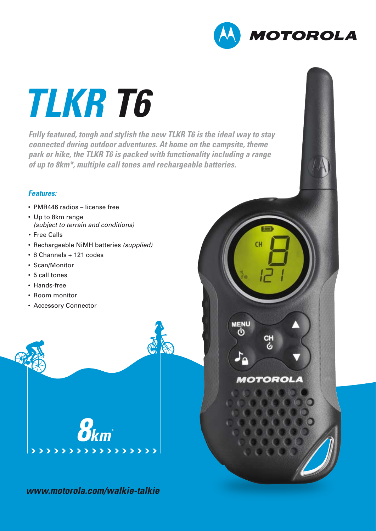

# *TLKR T6*

*Fully featured, tough and stylish the new TLKR T6 is the ideal way to stay connected during outdoor adventures. At home on the campsite, theme park or hike, the TLKR T6 is packed with functionality including a range of up to 8km\*, multiple call tones and rechargeable batteries.* 

#### *Features:*

- PMR446 radios license free
- Up to 8km range *(subject to terrain and conditions)*
- Free Calls
- Rechargeable NiMH batteries *(supplied)*
- 8 Channels + 121 codes
- Scan/Monitor
- 5 call tones
- Hands-free
- Room monitor
- Accessory Connector



*www.motorola.com/walkie-talkie*